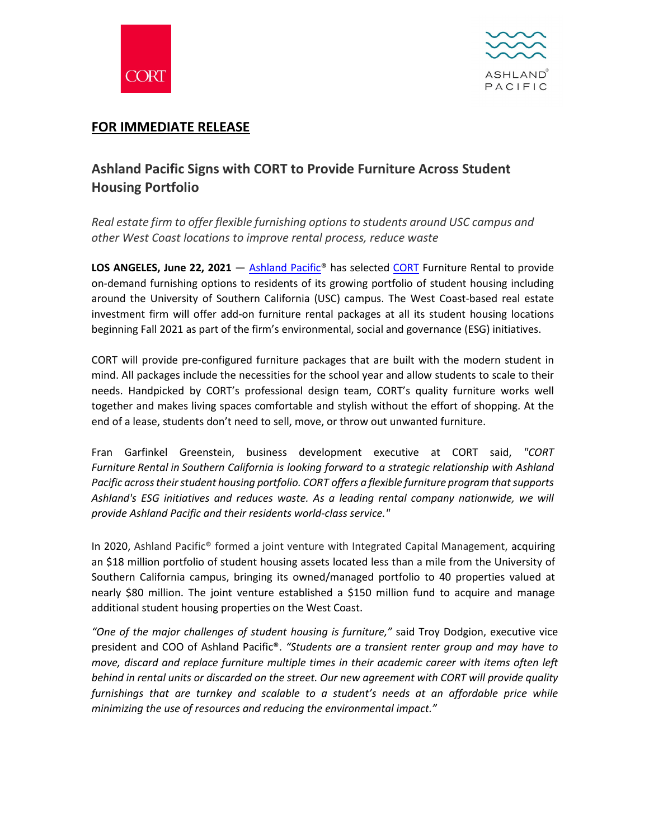



## **FOR IMMEDIATE RELEASE**

## **Ashland Pacific Signs with CORT to Provide Furniture Across Student Housing Portfolio**

*Real estate firm to offer flexible furnishing options to students around USC campus and other West Coast locations to improve rental process, reduce waste* 

LOS ANGELES, June 22, 2021 – Ashland Pacific<sup>®</sup> has selected [CORT](http://www.cort.com/) Furniture Rental to provide on-demand furnishing options to residents of its growing portfolio of student housing including around the University of Southern California (USC) campus. The West Coast-based real estate investment firm will offer add-on furniture rental packages at all its student housing locations beginning Fall 2021 as part of the firm's environmental, social and governance (ESG) initiatives.

CORT will provide pre-configured furniture packages that are built with the modern student in mind. All packages include the necessities for the school year and allow students to scale to their needs. Handpicked by CORT's professional design team, CORT's quality furniture works well together and makes living spaces comfortable and stylish without the effort of shopping. At the end of a lease, students don't need to sell, move, or throw out unwanted furniture.

Fran Garfinkel Greenstein, business development executive at CORT said, *"CORT Furniture Rental in Southern California is looking forward to a strategic relationship with Ashland Pacific across their student housing portfolio. CORT offers a flexible furniture program that supports Ashland's ESG initiatives and reduces waste. As a leading rental company nationwide, we will provide Ashland Pacific and their residents world-class service."*

In 2020, Ashland Pacific® formed a joint venture with Integrated Capital Management, acquiring an \$18 million portfolio of student housing assets located less than a mile from the University of Southern California campus, bringing its owned/managed portfolio to 40 properties valued at nearly \$80 million. The joint venture established a \$150 million fund to acquire and manage additional student housing properties on the West Coast.

*"One of the major challenges of student housing is furniture,"* said Troy Dodgion, executive vice president and COO of Ashland Pacific®. *"Students are a transient renter group and may have to move, discard and replace furniture multiple times in their academic career with items often left behind in rental units or discarded on the street. Our new agreement with CORT will provide quality furnishings that are turnkey and scalable to a student's needs at an affordable price while minimizing the use of resources and reducing the environmental impact."*